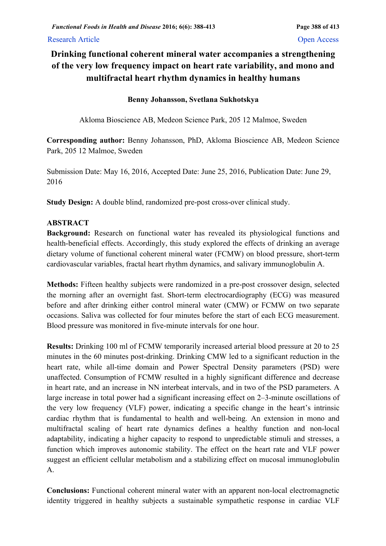# Research Article **Open Access**

# **Drinking functional coherent mineral water accompanies a strengthening of the very low frequency impact on heart rate variability, and mono and multifractal heart rhythm dynamics in healthy humans**

# **Benny Johansson, Svetlana Sukhotskya**

Akloma Bioscience AB, Medeon Science Park, 205 12 Malmoe, Sweden

**Corresponding author:** Benny Johansson, PhD, Akloma Bioscience AB, Medeon Science Park, 205 12 Malmoe, Sweden

Submission Date: May 16, 2016, Accepted Date: June 25, 2016, Publication Date: June 29, 2016

**Study Design:** A double blind, randomized pre-post cross-over clinical study.

# **ABSTRACT**

**Background:** Research on functional water has revealed its physiological functions and health-beneficial effects. Accordingly, this study explored the effects of drinking an average dietary volume of functional coherent mineral water (FCMW) on blood pressure, short-term cardiovascular variables, fractal heart rhythm dynamics, and salivary immunoglobulin A.

**Methods:** Fifteen healthy subjects were randomized in a pre-post crossover design, selected the morning after an overnight fast. Short-term electrocardiography (ECG) was measured before and after drinking either control mineral water (CMW) or FCMW on two separate occasions. Saliva was collected for four minutes before the start of each ECG measurement. Blood pressure was monitored in five-minute intervals for one hour.

**Results:** Drinking 100 ml of FCMW temporarily increased arterial blood pressure at 20 to 25 minutes in the 60 minutes post-drinking. Drinking CMW led to a significant reduction in the heart rate, while all-time domain and Power Spectral Density parameters (PSD) were unaffected. Consumption of FCMW resulted in a highly significant difference and decrease in heart rate, and an increase in NN interbeat intervals, and in two of the PSD parameters. A large increase in total power had a significant increasing effect on 2–3-minute oscillations of the very low frequency (VLF) power, indicating a specific change in the heart's intrinsic cardiac rhythm that is fundamental to health and well-being. An extension in mono and multifractal scaling of heart rate dynamics defines a healthy function and non-local adaptability, indicating a higher capacity to respond to unpredictable stimuli and stresses, a function which improves autonomic stability. The effect on the heart rate and VLF power suggest an efficient cellular metabolism and a stabilizing effect on mucosal immunoglobulin A.

**Conclusions:** Functional coherent mineral water with an apparent non-local electromagnetic identity triggered in healthy subjects a sustainable sympathetic response in cardiac VLF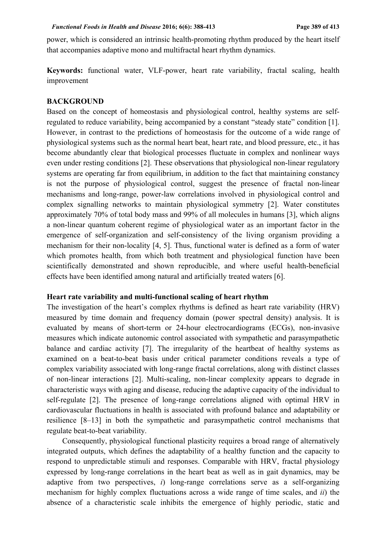power, which is considered an intrinsic health-promoting rhythm produced by the heart itself that accompanies adaptive mono and multifractal heart rhythm dynamics.

**Keywords:** functional water, VLF-power, heart rate variability, fractal scaling, health improvement

### **BACKGROUND**

Based on the concept of homeostasis and physiological control, healthy systems are selfregulated to reduce variability, being accompanied by a constant "steady state" condition [1]. However, in contrast to the predictions of homeostasis for the outcome of a wide range of physiological systems such as the normal heart beat, heart rate, and blood pressure, etc., it has become abundantly clear that biological processes fluctuate in complex and nonlinear ways even under resting conditions [2]. These observations that physiological non-linear regulatory systems are operating far from equilibrium, in addition to the fact that maintaining constancy is not the purpose of physiological control, suggest the presence of fractal non-linear mechanisms and long-range, power-law correlations involved in physiological control and complex signalling networks to maintain physiological symmetry [2]. Water constitutes approximately 70% of total body mass and 99% of all molecules in humans [3], which aligns a non-linear quantum coherent regime of physiological water as an important factor in the emergence of self-organization and self-consistency of the living organism providing a mechanism for their non-locality [4, 5]. Thus, functional water is defined as a form of water which promotes health, from which both treatment and physiological function have been scientifically demonstrated and shown reproducible, and where useful health-beneficial effects have been identified among natural and artificially treated waters [6].

# **Heart rate variability and multi-functional scaling of heart rhythm**

The investigation of the heart's complex rhythms is defined as heart rate variability (HRV) measured by time domain and frequency domain (power spectral density) analysis. It is evaluated by means of short-term or 24-hour electrocardiograms (ECGs), non-invasive measures which indicate autonomic control associated with sympathetic and parasympathetic balance and cardiac activity [7]. The irregularity of the heartbeat of healthy systems as examined on a beat-to-beat basis under critical parameter conditions reveals a type of complex variability associated with long-range fractal correlations, along with distinct classes of non-linear interactions [2]. Multi-scaling, non-linear complexity appears to degrade in characteristic ways with aging and disease, reducing the adaptive capacity of the individual to self-regulate [2]. The presence of long-range correlations aligned with optimal HRV in cardiovascular fluctuations in health is associated with profound balance and adaptability or resilience [8–13] in both the sympathetic and parasympathetic control mechanisms that regulate beat-to-beat variability.

 Consequently, physiological functional plasticity requires a broad range of alternatively integrated outputs, which defines the adaptability of a healthy function and the capacity to respond to unpredictable stimuli and responses. Comparable with HRV, fractal physiology expressed by long-range correlations in the heart beat as well as in gait dynamics, may be adaptive from two perspectives, *i*) long-range correlations serve as a self-organizing mechanism for highly complex fluctuations across a wide range of time scales, and *ii*) the absence of a characteristic scale inhibits the emergence of highly periodic, static and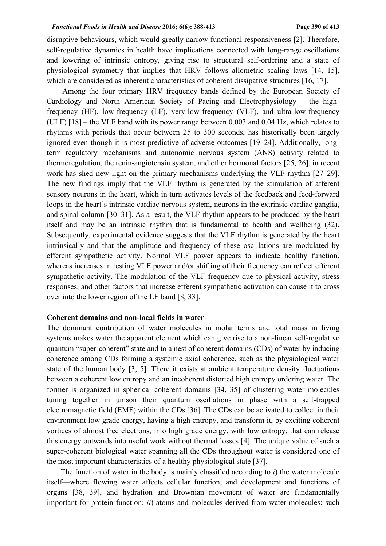disruptive behaviours, which would greatly narrow functional responsiveness [2]. Therefore, self-regulative dynamics in health have implications connected with long-range oscillations and lowering of intrinsic entropy, giving rise to structural self-ordering and a state of physiological symmetry that implies that HRV follows allometric scaling laws [14, 15], which are considered as inherent characteristics of coherent dissipative structures [16, 17].

 Among the four primary HRV frequency bands defined by the European Society of Cardiology and North American Society of Pacing and Electrophysiology – the highfrequency (HF), low-frequency (LF), very-low-frequency (VLF), and ultra-low-frequency (ULF) [18] – the VLF band with its power range between 0.003 and 0.04 Hz, which relates to rhythms with periods that occur between 25 to 300 seconds, has historically been largely ignored even though it is most predictive of adverse outcomes [19–24]. Additionally, longterm regulatory mechanisms and autonomic nervous system (ANS) activity related to thermoregulation, the renin-angiotensin system, and other hormonal factors [25, 26], in recent work has shed new light on the primary mechanisms underlying the VLF rhythm [27–29]. The new findings imply that the VLF rhythm is generated by the stimulation of afferent sensory neurons in the heart, which in turn activates levels of the feedback and feed-forward loops in the heart's intrinsic cardiac nervous system, neurons in the extrinsic cardiac ganglia, and spinal column [30–31]. As a result, the VLF rhythm appears to be produced by the heart itself and may be an intrinsic rhythm that is fundamental to health and wellbeing (32). Subsequently, experimental evidence suggests that the VLF rhythm is generated by the heart intrinsically and that the amplitude and frequency of these oscillations are modulated by efferent sympathetic activity. Normal VLF power appears to indicate healthy function, whereas increases in resting VLF power and/or shifting of their frequency can reflect efferent sympathetic activity. The modulation of the VLF frequency due to physical activity, stress responses, and other factors that increase efferent sympathetic activation can cause it to cross over into the lower region of the LF band [8, 33].

# **Coherent domains and non-local fields in water**

The dominant contribution of water molecules in molar terms and total mass in living systems makes water the apparent element which can give rise to a non-linear self-regulative quantum "super-coherent" state and to a nest of coherent domains (CDs) of water by inducing coherence among CDs forming a systemic axial coherence, such as the physiological water state of the human body [3, 5]. There it exists at ambient temperature density fluctuations between a coherent low entropy and an incoherent distorted high entropy ordering water. The former is organized in spherical coherent domains [34, 35] of clustering water molecules tuning together in unison their quantum oscillations in phase with a self-trapped electromagnetic field (EMF) within the CDs [36]. The CDs can be activated to collect in their environment low grade energy, having a high entropy, and transform it, by exciting coherent vortices of almost free electrons, into high grade energy, with low entropy, that can release this energy outwards into useful work without thermal losses [4]. The unique value of such a super-coherent biological water spanning all the CDs throughout water is considered one of the most important characteristics of a healthy physiological state [37].

The function of water in the body is mainly classified according to *i*) the water molecule itself—where flowing water affects cellular function, and development and functions of organs [38, 39], and hydration and Brownian movement of water are fundamentally important for protein function; *ii*) atoms and molecules derived from water molecules; such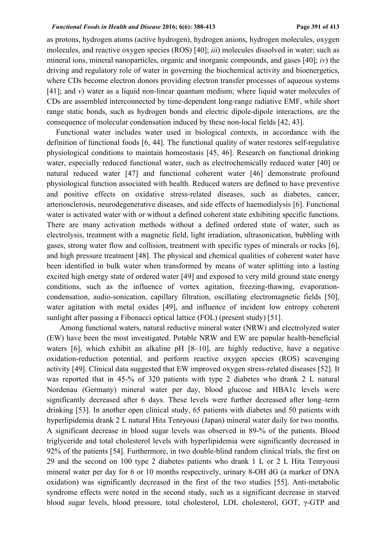### *Functional Foods in Health and Disease* **2016; 6(6): 388-413****Page 391 of 413**

as protons, hydrogen atoms (active hydrogen), hydrogen anions, hydrogen molecules, oxygen molecules, and reactive oxygen species (ROS) [40]; *iii*) molecules dissolved in water; such as mineral ions, mineral nanoparticles, organic and inorganic compounds, and gases [40]; *iv*) the driving and regulatory role of water in governing the biochemical activity and bioenergetics, where CDs become electron donors providing electron transfer processes of aqueous systems [41]; and *v*) water as a liquid non-linear quantum medium; where liquid water molecules of CDs are assembled interconnected by time-dependent long-range radiative EMF, while short range static bonds, such as hydrogen bonds and electric dipole-dipole interactions, are the consequence of molecular condensation induced by these non-local fields [42, 43].

Functional water includes water used in biological contexts, in accordance with the definition of functional foods [6, 44]. The functional quality of water restores self-regulative physiological conditions to maintain homeostasis [45, 46]. Research on functional drinking water, especially reduced functional water, such as electrochemically reduced water [40] or natural reduced water [47] and functional coherent water [46] demonstrate profound physiological function associated with health. Reduced waters are defined to have preventive and positive effects on oxidative stress-related diseases, such as diabetes, cancer, arteriosclerosis, neurodegenerative diseases, and side effects of haemodialysis [6]. Functional water is activated water with or without a defined coherent state exhibiting specific functions. There are many activation methods without a defined ordered state of water, such as electrolysis, treatment with a magnetic field, light irradiation, ultrasonication, bubbling with gases, strong water flow and collision, treatment with specific types of minerals or rocks [6], and high pressure treatment [48]. The physical and chemical qualities of coherent water have been identified in bulk water when transformed by means of water splitting into a lasting excited high energy state of ordered water [49] and exposed to very mild ground state energy conditions, such as the influence of vortex agitation, freezing-thawing, evaporationcondensation, audio-sonication, capillary filtration, oscillating electromagnetic fields [50], water agitation with metal oxides [49], and influence of incident low entropy coherent sunlight after passing a Fibonacci optical lattice (FOL) (present study) [51].

 Among functional waters, natural reductive mineral water (NRW) and electrolyzed water (EW) have been the most investigated. Potable NRW and EW are popular health-beneficial waters [6], which exhibit an alkaline pH [8–10], are highly reductive, have a negative oxidation-reduction potential, and perform reactive oxygen species (ROS) scavenging activity [49]. Clinical data suggested that EW improved oxygen stress-related diseases [52]. It was reported that in 45-% of 320 patients with type 2 diabetes who drank 2 L natural Nordenau (Germany) mineral water per day, blood glucose and HBA1c levels were significantly decreased after 6 days. These levels were further decreased after long–term drinking [53]. In another open clinical study, 65 patients with diabetes and 50 patients with hyperlipidemia drank 2 L natural Hita Tenryousi (Japan) mineral water daily for two months. A significant decrease in blood sugar levels was observed in 89-% of the patients. Blood triglyceride and total cholesterol levels with hyperlipidemia were significantly decreased in 92% of the patients [54]. Furthermore, in two double-blind random clinical trials, the first on 29 and the second on 100 type 2 diabetes patients who drank 1 L or 2 L Hita Tenryousi mineral water per day for 6 or 10 months respectively, urinary 8-OH dG (a marker of DNA oxidation) was significantly decreased in the first of the two studies [55]. Anti-metabolic syndrome effects were noted in the second study, such as a significant decrease in starved blood sugar levels, blood pressure, total cholesterol, LDL cholesterol, GOT, γ-GTP and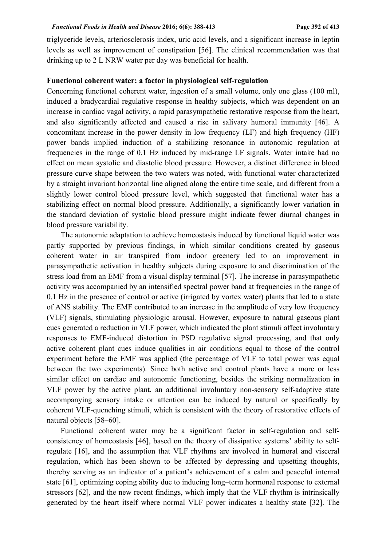# *Functional Foods in Health and Disease* **2016; 6(6): 388-413****Page 392 of 413**

triglyceride levels, arteriosclerosis index, uric acid levels, and a significant increase in leptin levels as well as improvement of constipation [56]. The clinical recommendation was that drinking up to 2 L NRW water per day was beneficial for health.

## **Functional coherent water: a factor in physiological self-regulation**

Concerning functional coherent water, ingestion of a small volume, only one glass (100 ml), induced a bradycardial regulative response in healthy subjects, which was dependent on an increase in cardiac vagal activity, a rapid parasympathetic restorative response from the heart, and also significantly affected and caused a rise in salivary humoral immunity [46]. A concomitant increase in the power density in low frequency (LF) and high frequency (HF) power bands implied induction of a stabilizing resonance in autonomic regulation at frequencies in the range of 0.1 Hz induced by mid-range LF signals. Water intake had no effect on mean systolic and diastolic blood pressure. However, a distinct difference in blood pressure curve shape between the two waters was noted, with functional water characterized by a straight invariant horizontal line aligned along the entire time scale, and different from a slightly lower control blood pressure level, which suggested that functional water has a stabilizing effect on normal blood pressure. Additionally, a significantly lower variation in the standard deviation of systolic blood pressure might indicate fewer diurnal changes in blood pressure variability.

The autonomic adaptation to achieve homeostasis induced by functional liquid water was partly supported by previous findings, in which similar conditions created by gaseous coherent water in air transpired from indoor greenery led to an improvement in parasympathetic activation in healthy subjects during exposure to and discrimination of the stress load from an EMF from a visual display terminal [57]. The increase in parasympathetic activity was accompanied by an intensified spectral power band at frequencies in the range of 0.1 Hz in the presence of control or active (irrigated by vortex water) plants that led to a state of ANS stability. The EMF contributed to an increase in the amplitude of very low frequency (VLF) signals, stimulating physiologic arousal. However, exposure to natural gaseous plant cues generated a reduction in VLF power, which indicated the plant stimuli affect involuntary responses to EMF-induced distortion in PSD regulative signal processing, and that only active coherent plant cues induce qualities in air conditions equal to those of the control experiment before the EMF was applied (the percentage of VLF to total power was equal between the two experiments). Since both active and control plants have a more or less similar effect on cardiac and autonomic functioning, besides the striking normalization in VLF power by the active plant, an additional involuntary non-sensory self-adaptive state accompanying sensory intake or attention can be induced by natural or specifically by coherent VLF-quenching stimuli, which is consistent with the theory of restorative effects of natural objects [58–60].

Functional coherent water may be a significant factor in self-regulation and selfconsistency of homeostasis [46], based on the theory of dissipative systems' ability to selfregulate [16], and the assumption that VLF rhythms are involved in humoral and visceral regulation, which has been shown to be affected by depressing and upsetting thoughts, thereby serving as an indicator of a patient's achievement of a calm and peaceful internal state [61], optimizing coping ability due to inducing long–term hormonal response to external stressors [62], and the new recent findings, which imply that the VLF rhythm is intrinsically generated by the heart itself where normal VLF power indicates a healthy state [32]. The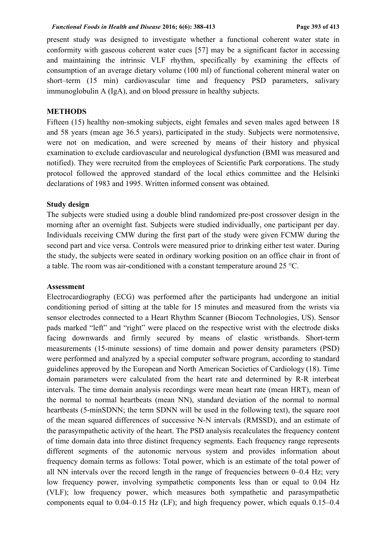present study was designed to investigate whether a functional coherent water state in conformity with gaseous coherent water cues [57] may be a significant factor in accessing and maintaining the intrinsic VLF rhythm, specifically by examining the effects of consumption of an average dietary volume (100 ml) of functional coherent mineral water on short–term (15 min) cardiovascular time and frequency PSD parameters, salivary immunoglobulin A (IgA), and on blood pressure in healthy subjects.

# **METHODS**

Fifteen (15) healthy non-smoking subjects, eight females and seven males aged between 18 and 58 years (mean age 36.5 years), participated in the study. Subjects were normotensive, were not on medication, and were screened by means of their history and physical examination to exclude cardiovascular and neurological dysfunction (BMI was measured and notified). They were recruited from the employees of Scientific Park corporations. The study protocol followed the approved standard of the local ethics committee and the Helsinki declarations of 1983 and 1995. Written informed consent was obtained.

# **Study design**

The subjects were studied using a double blind randomized pre-post crossover design in the morning after an overnight fast. Subjects were studied individually, one participant per day. Individuals receiving CMW during the first part of the study were given FCMW during the second part and vice versa. Controls were measured prior to drinking either test water. During the study, the subjects were seated in ordinary working position on an office chair in front of a table. The room was air-conditioned with a constant temperature around 25 °C.

### **Assessment**

Electrocardiography (ECG) was performed after the participants had undergone an initial conditioning period of sitting at the table for 15 minutes and measured from the wrists via sensor electrodes connected to a Heart Rhythm Scanner (Biocom Technologies, US). Sensor pads marked "left" and "right" were placed on the respective wrist with the electrode disks facing downwards and firmly secured by means of elastic wristbands. Short-term measurements (15-minute sessions) of time domain and power density parameters (PSD) were performed and analyzed by a special computer software program, according to standard guidelines approved by the European and North American Societies of Cardiology (18). Time domain parameters were calculated from the heart rate and determined by R-R interbeat intervals. The time domain analysis recordings were mean heart rate (mean HRT), mean of the normal to normal heartbeats (mean NN), standard deviation of the normal to normal heartbeats (5-minSDNN; the term SDNN will be used in the following text), the square root of the mean squared differences of successive N-N intervals (RMSSD), and an estimate of the parasympathetic activity of the heart. The PSD analysis recalculates the frequency content of time domain data into three distinct frequency segments. Each frequency range represents different segments of the autonomic nervous system and provides information about frequency domain terms as follows: Total power, which is an estimate of the total power of all NN intervals over the record length in the range of frequencies between 0–0.4 Hz; very low frequency power, involving sympathetic components less than or equal to 0.04 Hz (VLF); low frequency power, which measures both sympathetic and parasympathetic components equal to 0.04–0.15 Hz (LF); and high frequency power, which equals 0.15–0.4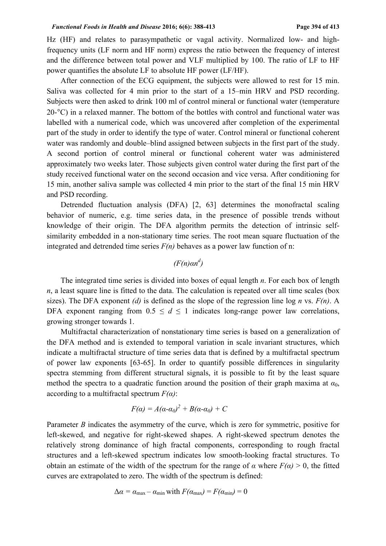Hz (HF) and relates to parasympathetic or vagal activity. Normalized low- and highfrequency units (LF norm and HF norm) express the ratio between the frequency of interest and the difference between total power and VLF multiplied by 100. The ratio of LF to HF power quantifies the absolute LF to absolute HF power (LF/HF).

After connection of the ECG equipment, the subjects were allowed to rest for 15 min. Saliva was collected for 4 min prior to the start of a 15–min HRV and PSD recording. Subjects were then asked to drink 100 ml of control mineral or functional water (temperature 20-°C) in a relaxed manner. The bottom of the bottles with control and functional water was labelled with a numerical code, which was uncovered after completion of the experimental part of the study in order to identify the type of water. Control mineral or functional coherent water was randomly and double–blind assigned between subjects in the first part of the study. A second portion of control mineral or functional coherent water was administered approximately two weeks later. Those subjects given control water during the first part of the study received functional water on the second occasion and vice versa. After conditioning for 15 min, another saliva sample was collected 4 min prior to the start of the final 15 min HRV and PSD recording.

Detrended fluctuation analysis (DFA) [2, 63] determines the monofractal scaling behavior of numeric, e.g. time series data, in the presence of possible trends without knowledge of their origin. The DFA algorithm permits the detection of intrinsic selfsimilarity embedded in a non-stationary time series. The root mean square fluctuation of the integrated and detrended time series  $F(n)$  behaves as a power law function of n:

# *(F(n)αn d )*

The integrated time series is divided into boxes of equal length *n*. For each box of length  $n<sub>1</sub>$ , a least square line is fitted to the data. The calculation is repeated over all time scales (box sizes). The DFA exponent *(d)* is defined as the slope of the regression line log *n* vs. *F(n)*. A DFA exponent ranging from  $0.5 \le d \le 1$  indicates long-range power law correlations, growing stronger towards 1.

Multifractal characterization of nonstationary time series is based on a generalization of the DFA method and is extended to temporal variation in scale invariant structures, which indicate a multifractal structure of time series data that is defined by a multifractal spectrum of power law exponents [63-65]. In order to quantify possible differences in singularity spectra stemming from different structural signals, it is possible to fit by the least square method the spectra to a quadratic function around the position of their graph maxima at  $\alpha_0$ , according to a multifractal spectrum  $F(\alpha)$ :

$$
F(\alpha) = A(\alpha - \alpha_0)^2 + B(\alpha - \alpha_0) + C
$$

Parameter *B* indicates the asymmetry of the curve, which is zero for symmetric, positive for left-skewed, and negative for right-skewed shapes. A right-skewed spectrum denotes the relatively strong dominance of high fractal components, corresponding to rough fractal structures and a left-skewed spectrum indicates low smooth-looking fractal structures. To obtain an estimate of the width of the spectrum for the range of  $\alpha$  where  $F(\alpha) > 0$ , the fitted curves are extrapolated to zero. The width of the spectrum is defined:

$$
\Delta \alpha = \alpha_{\text{max}} - \alpha_{\text{min}} \text{ with } F(\alpha_{\text{max}}) = F(\alpha_{\text{min}}) = 0
$$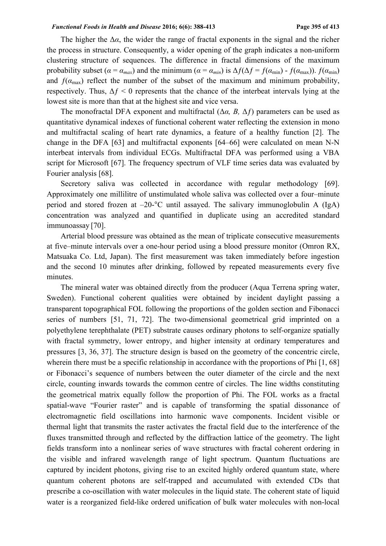#### *Functional Foods in Health and Disease* **2016; 6(6): 388-413****Page 395 of 413**

The higher the  $\Delta \alpha$ , the wider the range of fractal exponents in the signal and the richer the process in structure. Consequently, a wider opening of the graph indicates a non-uniform clustering structure of sequences. The difference in fractal dimensions of the maximum probability subset  $(a = a_{max})$  and the minimum  $(a = a_{min})$  is  $\Delta f(\Delta f) = f(a_{min}) - f(a_{max})$ .  $f(a_{min})$ and  $f(\alpha_{\text{max}})$  reflect the number of the subset of the maximum and minimum probability, respectively. Thus,  $\Delta f \leq 0$  represents that the chance of the interbeat intervals lying at the lowest site is more than that at the highest site and vice versa.

The monofractal DFA exponent and multifractal (Δ*α, B,* Δ*ƒ*) parameters can be used as quantitative dynamical indexes of functional coherent water reflecting the extension in mono and multifractal scaling of heart rate dynamics, a feature of a healthy function [2]. The change in the DFA [63] and multifractal exponents [64‒66] were calculated on mean N-N interbeat intervals from individual ECGs. Multifractal DFA was performed using a VBA script for Microsoft [67]. The frequency spectrum of VLF time series data was evaluated by Fourier analysis [68].

Secretory saliva was collected in accordance with regular methodology [69]. Approximately one millilitre of unstimulated whole saliva was collected over a four–minute period and stored frozen at –20-°C until assayed. The salivary immunoglobulin A (IgA) concentration was analyzed and quantified in duplicate using an accredited standard immunoassay [70].

Arterial blood pressure was obtained as the mean of triplicate consecutive measurements at five–minute intervals over a one-hour period using a blood pressure monitor (Omron RX, Matsuaka Co. Ltd, Japan). The first measurement was taken immediately before ingestion and the second 10 minutes after drinking, followed by repeated measurements every five minutes.

The mineral water was obtained directly from the producer (Aqua Terrena spring water, Sweden). Functional coherent qualities were obtained by incident daylight passing a transparent topographical FOL following the proportions of the golden section and Fibonacci series of numbers [51, 71, 72]. The two-dimensional geometrical grid imprinted on a polyethylene terephthalate (PET) substrate causes ordinary photons to self-organize spatially with fractal symmetry, lower entropy, and higher intensity at ordinary temperatures and pressures [3, 36, 37]. The structure design is based on the geometry of the concentric circle, wherein there must be a specific relationship in accordance with the proportions of Phi [1, 68] or Fibonacci's sequence of numbers between the outer diameter of the circle and the next circle, counting inwards towards the common centre of circles. The line widths constituting the geometrical matrix equally follow the proportion of Phi. The FOL works as a fractal spatial-wave "Fourier raster" and is capable of transforming the spatial dissonance of electromagnetic field oscillations into harmonic wave components. Incident visible or thermal light that transmits the raster activates the fractal field due to the interference of the fluxes transmitted through and reflected by the diffraction lattice of the geometry. The light fields transform into a nonlinear series of wave structures with fractal coherent ordering in the visible and infrared wavelength range of light spectrum. Quantum fluctuations are captured by incident photons, giving rise to an excited highly ordered quantum state, where quantum coherent photons are self-trapped and accumulated with extended CDs that prescribe a co-oscillation with water molecules in the liquid state. The coherent state of liquid water is a reorganized field-like ordered unification of bulk water molecules with non-local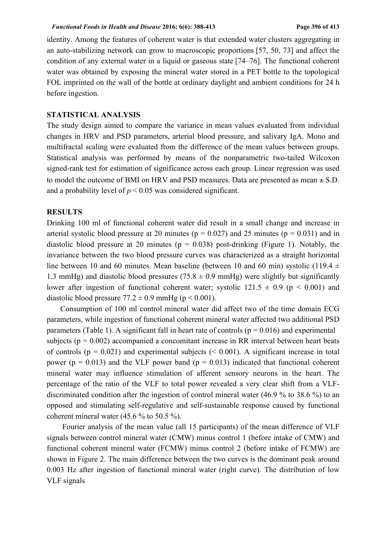identity. Among the features of coherent water is that extended water clusters aggregating in an auto-stabilizing network can grow to macroscopic proportions [57, 50, 73] and affect the condition of any external water in a liquid or gaseous state [74–76]. The functional coherent water was obtained by exposing the mineral water stored in a PET bottle to the topological FOL imprinted on the wall of the bottle at ordinary daylight and ambient conditions for 24 h before ingestion.

# **STATISTICAL ANALYSIS**

The study design aimed to compare the variance in mean values evaluated from individual changes in HRV and PSD parameters, arterial blood pressure, and salivary IgA. Mono and multifractal scaling were evaluated from the difference of the mean values between groups. Statistical analysis was performed by means of the nonparametric two-tailed Wilcoxon signed-rank test for estimation of significance across each group. Linear regression was used to model the outcome of BMI on HRV and PSD measures. Data are presented as mean ± S.D. and a probability level of  $p < 0.05$  was considered significant.

# **RESULTS**

Drinking 100 ml of functional coherent water did result in a small change and increase in arterial systolic blood pressure at 20 minutes ( $p = 0.027$ ) and 25 minutes ( $p = 0.031$ ) and in diastolic blood pressure at 20 minutes ( $p = 0.038$ ) post-drinking (Figure 1). Notably, the invariance between the two blood pressure curves was characterized as a straight horizontal line between 10 and 60 minutes. Mean baseline (between 10 and 60 min) systolic (119.4  $\pm$ 1.3 mmHg) and diastolic blood pressures (75.8  $\pm$  0.9 mmHg) were slightly but significantly lower after ingestion of functional coherent water; systolic  $121.5 \pm 0.9$  (p < 0.001) and diastolic blood pressure  $77.2 \pm 0.9$  mmHg (p < 0.001).

 Consumption of 100 ml control mineral water did affect two of the time domain ECG parameters, while ingestion of functional coherent mineral water affected two additional PSD parameters (Table 1). A significant fall in heart rate of controls ( $p = 0.016$ ) and experimental subjects ( $p = 0.002$ ) accompanied a concomitant increase in RR interval between heart beats of controls ( $p = 0.021$ ) and experimental subjects ( $\leq 0.001$ ). A significant increase in total power ( $p = 0.013$ ) and the VLF power band ( $p = 0.013$ ) indicated that functional coherent mineral water may influence stimulation of afferent sensory neurons in the heart. The percentage of the ratio of the VLF to total power revealed a very clear shift from a VLFdiscriminated condition after the ingestion of control mineral water (46.9 % to 38.6 %) to an opposed and stimulating self-regulative and self-sustainable response caused by functional coherent mineral water  $(45.6 %$  to  $50.5 %$ ).

 Fourier analysis of the mean value (all 15 participants) of the mean difference of VLF signals between control mineral water (CMW) minus control 1 (before intake of CMW) and functional coherent mineral water (FCMW) minus control 2 (before intake of FCMW) are shown in Figure 2. The main difference between the two curves is the dominant peak around 0.003 Hz after ingestion of functional mineral water (right curve). The distribution of low VLF signals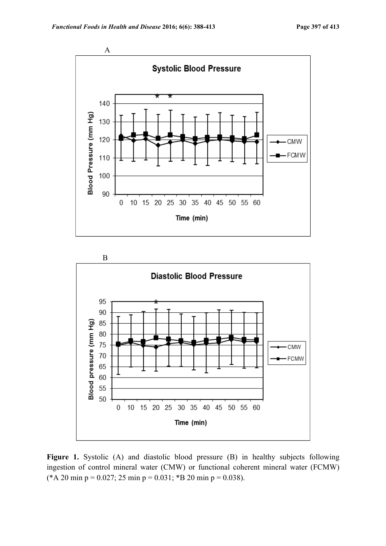



Figure 1. Systolic (A) and diastolic blood pressure (B) in healthy subjects following ingestion of control mineral water (CMW) or functional coherent mineral water (FCMW) (\*A 20 min p = 0.027; 25 min p = 0.031; \*B 20 min p = 0.038).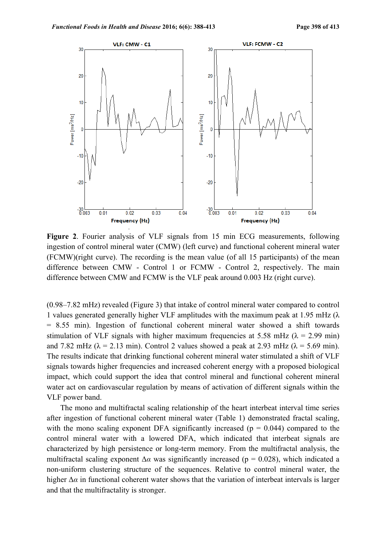

**Figure 2**. Fourier analysis of VLF signals from 15 min ECG measurements, following ingestion of control mineral water (CMW) (left curve) and functional coherent mineral water (FCMW)(right curve). The recording is the mean value (of all 15 participants) of the mean difference between CMW - Control 1 or FCMW - Control 2, respectively. The main difference between CMW and FCMW is the VLF peak around 0.003 Hz (right curve).

(0.98–7.82 mHz) revealed (Figure 3) that intake of control mineral water compared to control 1 values generated generally higher VLF amplitudes with the maximum peak at 1.95 mHz  $(\lambda)$ = 8.55 min). Ingestion of functional coherent mineral water showed a shift towards stimulation of VLF signals with higher maximum frequencies at 5.58 mHz ( $\lambda$  = 2.99 min) and 7.82 mHz ( $\lambda$  = 2.13 min). Control 2 values showed a peak at 2.93 mHz ( $\lambda$  = 5.69 min). The results indicate that drinking functional coherent mineral water stimulated a shift of VLF signals towards higher frequencies and increased coherent energy with a proposed biological impact, which could support the idea that control mineral and functional coherent mineral water act on cardiovascular regulation by means of activation of different signals within the VLF power band.

 The mono and multifractal scaling relationship of the heart interbeat interval time series after ingestion of functional coherent mineral water (Table 1) demonstrated fractal scaling, with the mono scaling exponent DFA significantly increased ( $p = 0.044$ ) compared to the control mineral water with a lowered DFA, which indicated that interbeat signals are characterized by high persistence or long-term memory. From the multifractal analysis, the multifractal scaling exponent  $\Delta \alpha$  was significantly increased ( $p = 0.028$ ), which indicated a non-uniform clustering structure of the sequences. Relative to control mineral water, the higher  $\Delta\alpha$  in functional coherent water shows that the variation of interbeat intervals is larger and that the multifractality is stronger.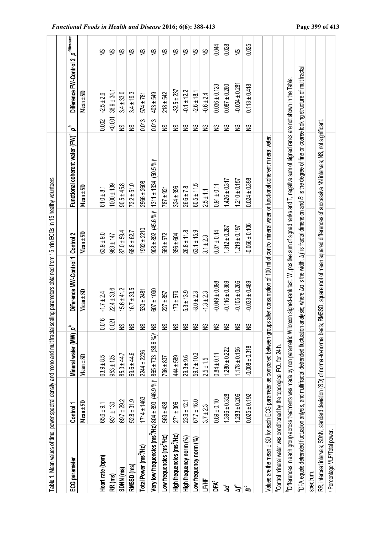| Table 1. Mean values of time, power spectral density and mono and multifractal                |                   |                       |                           | scaling parameters obtained from 15 min ECGs in 15 healthy volunteers |                    |                                                                                                                                                                                                       |                           |                         |                              |
|-----------------------------------------------------------------------------------------------|-------------------|-----------------------|---------------------------|-----------------------------------------------------------------------|--------------------|-------------------------------------------------------------------------------------------------------------------------------------------------------------------------------------------------------|---------------------------|-------------------------|------------------------------|
|                                                                                               |                   |                       |                           |                                                                       |                    |                                                                                                                                                                                                       |                           |                         |                              |
| ECG parameter                                                                                 | Control 1         | Mineral water (MW) p' |                           | Difference MW-Control 1 Control 2                                     |                    | Functional coherent water (FW) <sup>ª</sup>                                                                                                                                                           | $\mathbf{a}^{\mathbf{a}}$ | Difference FW-Control 2 | $\rho^{\textit{difference}}$ |
|                                                                                               | $Mean \pm SD$     | $Mean \pm SD$         |                           | $Mean \pm SD$                                                         | $Mean \pm SD$      | $Mean \pm SD$                                                                                                                                                                                         |                           | $Mean \pm SD$           |                              |
| Heart rate (bpm)                                                                              | $65.6 \pm 9.1$    | $63.9 \pm 8.5$        | <b>O16</b><br>Ö           | $-1.7 \pm 2.4$                                                        | $63.9 + 9.0$       | $61.0 \pm 8.1$                                                                                                                                                                                        | 0.002                     | $-2.5 \pm 2.6$          | Ձ                            |
| RR (ms)                                                                                       | $931 \pm 130$     | $953 \pm 125$         | 0.021                     | $22.4 \pm 33.6$                                                       | $963 \pm 147$      | $1000 \pm 139$                                                                                                                                                                                        | $-0.001$                  | $36.9 + 34.1$           | <b>SD</b>                    |
| SDNN (ms)                                                                                     | $69.7 \pm 29.2$   | $85.3 \pm 44.7$       | S                         | $15.6 \pm 41.2$                                                       | $87.0 \pm 59.4$    | $90.5 \pm 45.8$                                                                                                                                                                                       | S                         | $3.4 \pm 33.0$          | S                            |
| RMSSD (ms)                                                                                    | $52.8 \pm 31.9$   | 69.6 ± 44.6           | $\tilde{\mathbf{s}}$      | $16.7 \pm 33.5$                                                       | 68.8 ± 62.7        | $72.2 \pm 51.0$                                                                                                                                                                                       | S                         | $3.4 \pm 19.3$          | S                            |
| Total Power (ms <sup>2</sup> /Hz)                                                             | $1714 \pm 1463$   | 2244 ± 2236           | $\frac{8}{2}$             | 530 ± 2481                                                            | $1992 \pm 2210$    | 2566 ± 2608                                                                                                                                                                                           | 0.013                     | 574 ± 781               | $\frac{8}{2}$                |
| Very low frequencies (ms <sup>2</sup> /Hz) 804 ± 893 (46.9 %) 865 ± 733 (38.6 %) NS           |                   |                       |                           | $607 \pm 1090$                                                        |                    | $908 \pm 892$ (45.6%) 1311 ± 1334 (50.5%)                                                                                                                                                             | 0.013                     | 403 ± 549               | S                            |
| Low frequencies (ms'/Hz)                                                                      | $569 + 438$       | 796 ± 837             | $\frac{\omega}{2}$        | $227 \pm 857$                                                         | $569 + 572$        | 787 ± 921                                                                                                                                                                                             | $\tilde{z}$               | $218 + 542$             | S                            |
| High frequencies (ms'/Hz)                                                                     | $271 \pm 306$     | 444 ± 589             | $\widetilde{\mathcal{Z}}$ | $173 + 579$                                                           | 356 ± 604          | 324 ± 396                                                                                                                                                                                             | 9                         | $-32.5 \pm 237$         | $\tilde{z}$                  |
| High frequency norm (%)                                                                       | $23.9 \pm 12.1$   | $29.3 \pm 9.6$        | S                         | $5.3 \pm 13.9$                                                        | $26.8 \pm 11.8$    | $26.6 \pm 7.8$                                                                                                                                                                                        | $\mathfrak{S}$            | $-0.1 \pm 12.2$         | $\tilde{z}$                  |
| Low frequency norm (%)                                                                        | $67.7 \pm 16.0$   | $59.7 \pm 10.3$       | $\frac{8}{2}$             | $-8.0 \pm 2.3$                                                        | $63.1 \pm 15.9$    | $60.5 \pm 11.5$                                                                                                                                                                                       | S                         | $-2.6 \pm 18.1$         | $\mathfrak{S}$               |
| 当<br>上                                                                                        | $3.7 \pm 2.3$     | $2.5 \pm 1.5$         | $\mathfrak{S}$            | $-1.3 \pm 2.3$                                                        | $3.1 \pm 2.3$      | $2.5 \pm 1.1$                                                                                                                                                                                         | S                         | $-0.6 \pm 2.4$          | $\mathfrak{S}$               |
| <b>DFA<sup>c</sup></b>                                                                        | $0.89 \pm 0.10$   | $0.84 \pm 0.11$       | S                         | $-0.049 \pm 0.098$                                                    | $0.87 \pm 0.14$    | $0.91 \pm 0.11$                                                                                                                                                                                       | S                         | $0.036 \pm 0.123$       | 0.044                        |
| ័ឌ                                                                                            | $1.396 \pm 0.328$ | $1.280 \pm 0.222$     | $\widetilde{\approx}$     | $-0.116 \pm 0.369$                                                    | $1.312 \pm 0.287$  | $1.426 \pm 0.317$                                                                                                                                                                                     | $\mathfrak{S}$            | $0.087 \pm 0.260$       | 0.028                        |
| ٹی                                                                                            | $1.283 \pm 0.206$ | $1.178 \pm 0.156$     | $\frac{8}{2}$             | $-0.105 \pm 0.266$                                                    | $1.219 + 0.197$    | $1.210 \pm 0.157$                                                                                                                                                                                     | S                         | $-0.004 \pm 0.281$      | S                            |
| ă                                                                                             | $0.025 \pm 0.192$ | $-0.008 \pm 0.318$    | $\tilde{z}$               | $-0.033 \pm 0.489$                                                    | $-0.066 \pm 0.106$ | $0.024 \pm 0.398$                                                                                                                                                                                     | $\mathfrak{S}$            | $0.113 \pm 0.418$       | 0.025                        |
| Values are the mean ± SD for each ECG parameter as compared between grou                      |                   |                       |                           |                                                                       |                    | ps after consumption of 100 ml of control mineral water or functional coherent mineral water.                                                                                                         |                           |                         |                              |
| <sup>8</sup> Control mineral water was conditioned by the topological FOL for 24 h.           |                   |                       |                           |                                                                       |                    |                                                                                                                                                                                                       |                           |                         |                              |
|                                                                                               |                   |                       |                           |                                                                       |                    | <sup>b</sup> Differences in each group across treatments was made by non parametric Wilcoxon signed two, positive sum of signed ranks and T, negative sum of signed ranks are not shown in the Table. |                           |                         |                              |
| <sup>C</sup> DFA equals detrended fluctuation anlysis, and multifractal detrended fluctuation |                   |                       |                           |                                                                       |                    | analysis; where $\Delta a$ is the width, $\Delta f$ is fractal dimension and B is the degree of fine or coarse looking structure of multifractal                                                      |                           |                         |                              |
| spectrum.                                                                                     |                   |                       |                           |                                                                       |                    |                                                                                                                                                                                                       |                           |                         |                              |
|                                                                                               |                   |                       |                           |                                                                       |                    | RR, interbeat intervals; SDNN, standard deviation (SD) of normal-to-normal beats; RWSSD, square root of mean squared differences of successive NN intervals; NS, not significant.                     |                           |                         |                              |
| · Percentage VLF/Total power.                                                                 |                   |                       |                           |                                                                       |                    |                                                                                                                                                                                                       |                           |                         |                              |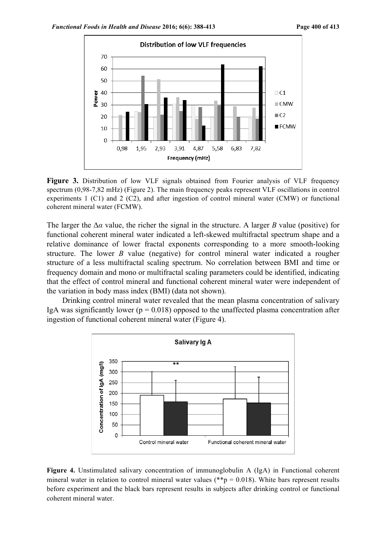

Figure 3. Distribution of low VLF signals obtained from Fourier analysis of VLF frequency spectrum (0,98-7,82 mHz) (Figure 2). The main frequency peaks represent VLF oscillations in control experiments 1 (C1) and 2 (C2), and after ingestion of control mineral water (CMW) or functional coherent mineral water (FCMW).

The larger the Δ*α* value, the richer the signal in the structure. A larger *B* value (positive) for functional coherent mineral water indicated a left-skewed multifractal spectrum shape and a relative dominance of lower fractal exponents corresponding to a more smooth-looking structure. The lower *B* value (negative) for control mineral water indicated a rougher structure of a less multifractal scaling spectrum. No correlation between BMI and time or frequency domain and mono or multifractal scaling parameters could be identified, indicating that the effect of control mineral and functional coherent mineral water were independent of the variation in body mass index (BMI) (data not shown).

 Drinking control mineral water revealed that the mean plasma concentration of salivary IgA was significantly lower ( $p = 0.018$ ) opposed to the unaffected plasma concentration after ingestion of functional coherent mineral water (Figure 4).



**Figure 4.** Unstimulated salivary concentration of immunoglobulin A (IgA) in Functional coherent mineral water in relation to control mineral water values ( $*$  $p$  = 0.018). White bars represent results before experiment and the black bars represent results in subjects after drinking control or functional coherent mineral water.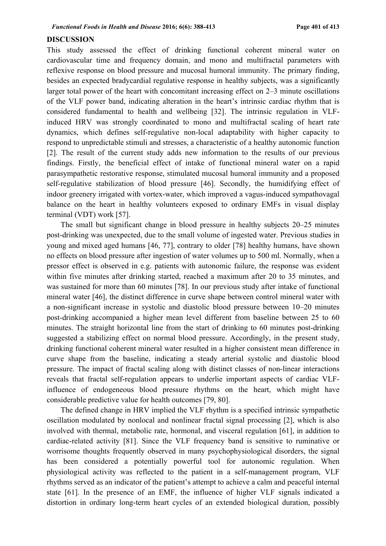### **DISCUSSION**

This study assessed the effect of drinking functional coherent mineral water on cardiovascular time and frequency domain, and mono and multifractal parameters with reflexive response on blood pressure and mucosal humoral immunity. The primary finding, besides an expected bradycardial regulative response in healthy subjects, was a significantly larger total power of the heart with concomitant increasing effect on 2–3 minute oscillations of the VLF power band, indicating alteration in the heart's intrinsic cardiac rhythm that is considered fundamental to health and wellbeing [32]. The intrinsic regulation in VLFinduced HRV was strongly coordinated to mono and multifractal scaling of heart rate dynamics, which defines self-regulative non-local adaptability with higher capacity to respond to unpredictable stimuli and stresses, a characteristic of a healthy autonomic function [2]. The result of the current study adds new information to the results of our previous findings. Firstly, the beneficial effect of intake of functional mineral water on a rapid parasympathetic restorative response, stimulated mucosal humoral immunity and a proposed self-regulative stabilization of blood pressure [46]. Secondly, the humidifying effect of indoor greenery irrigated with vortex-water, which improved a vagus-induced sympathovagal balance on the heart in healthy volunteers exposed to ordinary EMFs in visual display terminal (VDT) work [57].

The small but significant change in blood pressure in healthy subjects 20–25 minutes post-drinking was unexpected, due to the small volume of ingested water. Previous studies in young and mixed aged humans [46, 77], contrary to older [78] healthy humans, have shown no effects on blood pressure after ingestion of water volumes up to 500 ml. Normally, when a pressor effect is observed in e.g. patients with autonomic failure, the response was evident within five minutes after drinking started, reached a maximum after 20 to 35 minutes, and was sustained for more than 60 minutes [78]. In our previous study after intake of functional mineral water [46], the distinct difference in curve shape between control mineral water with a non-significant increase in systolic and diastolic blood pressure between 10–20 minutes post-drinking accompanied a higher mean level different from baseline between 25 to 60 minutes. The straight horizontal line from the start of drinking to 60 minutes post-drinking suggested a stabilizing effect on normal blood pressure. Accordingly, in the present study, drinking functional coherent mineral water resulted in a higher consistent mean difference in curve shape from the baseline, indicating a steady arterial systolic and diastolic blood pressure. The impact of fractal scaling along with distinct classes of non-linear interactions reveals that fractal self-regulation appears to underlie important aspects of cardiac VLFinfluence of endogeneous blood pressure rhythms on the heart, which might have considerable predictive value for health outcomes [79, 80].

The defined change in HRV implied the VLF rhythm is a specified intrinsic sympathetic oscillation modulated by nonlocal and nonlinear fractal signal processing [2], which is also involved with thermal, metabolic rate, hormonal, and visceral regulation [61], in addition to cardiac-related activity [81]. Since the VLF frequency band is sensitive to ruminative or worrisome thoughts frequently observed in many psychophysiological disorders, the signal has been considered a potentially powerful tool for autonomic regulation. When physiological activity was reflected to the patient in a self-management program, VLF rhythms served as an indicator of the patient's attempt to achieve a calm and peaceful internal state [61]. In the presence of an EMF, the influence of higher VLF signals indicated a distortion in ordinary long-term heart cycles of an extended biological duration, possibly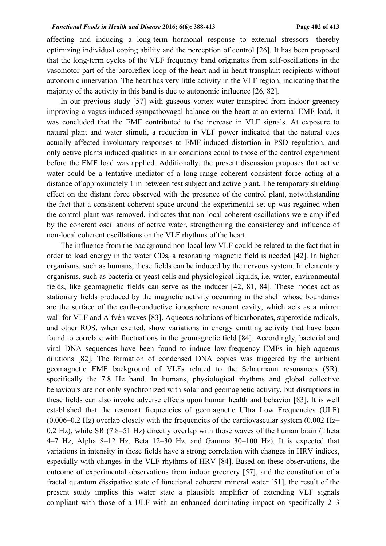### *Functional Foods in Health and Disease* **2016; 6(6): 388-413****Page 402 of 413**

affecting and inducing a long-term hormonal response to external stressors—thereby optimizing individual coping ability and the perception of control [26]. It has been proposed that the long-term cycles of the VLF frequency band originates from self-oscillations in the vasomotor part of the baroreflex loop of the heart and in heart transplant recipients without autonomic innervation. The heart has very little activity in the VLF region, indicating that the majority of the activity in this band is due to autonomic influence [26, 82].

In our previous study [57] with gaseous vortex water transpired from indoor greenery improving a vagus-induced sympathovagal balance on the heart at an external EMF load, it was concluded that the EMF contributed to the increase in VLF signals. At exposure to natural plant and water stimuli, a reduction in VLF power indicated that the natural cues actually affected involuntary responses to EMF-induced distortion in PSD regulation, and only active plants induced qualities in air conditions equal to those of the control experiment before the EMF load was applied. Additionally, the present discussion proposes that active water could be a tentative mediator of a long-range coherent consistent force acting at a distance of approximately 1 m between test subject and active plant. The temporary shielding effect on the distant force observed with the presence of the control plant, notwithstanding the fact that a consistent coherent space around the experimental set-up was regained when the control plant was removed, indicates that non-local coherent oscillations were amplified by the coherent oscillations of active water, strengthening the consistency and influence of non-local coherent oscillations on the VLF rhythms of the heart.

The influence from the background non-local low VLF could be related to the fact that in order to load energy in the water CDs, a resonating magnetic field is needed [42]. In higher organisms, such as humans, these fields can be induced by the nervous system. In elementary organisms, such as bacteria or yeast cells and physiological liquids, i.e. water, environmental fields, like geomagnetic fields can serve as the inducer [42, 81, 84]. These modes act as stationary fields produced by the magnetic activity occurring in the shell whose boundaries are the surface of the earth-conductive ionosphere resonant cavity, which acts as a mirror wall for VLF and Alfvén waves [83]. Aqueous solutions of bicarbonates, superoxide radicals, and other ROS, when excited, show variations in energy emitting activity that have been found to correlate with fluctuations in the geomagnetic field [84]. Accordingly, bacterial and viral DNA sequences have been found to induce low-frequency EMFs in high aqueous dilutions [82]. The formation of condensed DNA copies was triggered by the ambient geomagnetic EMF background of VLFs related to the Schaumann resonances (SR), specifically the 7.8 Hz band. In humans, physiological rhythms and global collective behaviours are not only synchronized with solar and geomagnetic activity, but disruptions in these fields can also invoke adverse effects upon human health and behavior [83]. It is well established that the resonant frequencies of geomagnetic Ultra Low Frequencies (ULF)  $(0.006-0.2 \text{ Hz})$  overlap closely with the frequencies of the cardiovascular system  $(0.002 \text{ Hz}$ 0.2 Hz), while SR (7.8–51 Hz) directly overlap with those waves of the human brain (Theta 4–7 Hz, Alpha 8–12 Hz, Beta 12–30 Hz, and Gamma 30–100 Hz). It is expected that variations in intensity in these fields have a strong correlation with changes in HRV indices, especially with changes in the VLF rhythms of HRV [84]. Based on these observations, the outcome of experimental observations from indoor greenery [57], and the constitution of a fractal quantum dissipative state of functional coherent mineral water [51], the result of the present study implies this water state a plausible amplifier of extending VLF signals compliant with those of a ULF with an enhanced dominating impact on specifically 2–3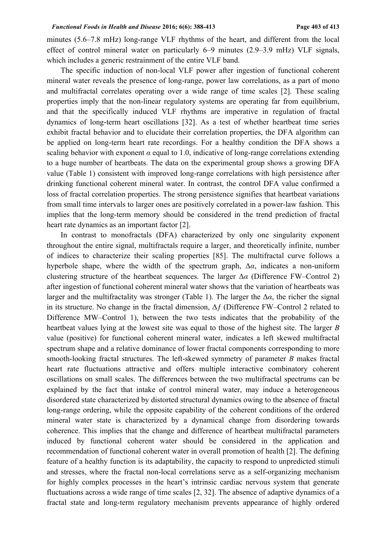minutes (5.6–7.8 mHz) long-range VLF rhythms of the heart, and different from the local effect of control mineral water on particularly 6–9 minutes (2.9–3.9 mHz) VLF signals, which includes a generic restrainment of the entire VLF band.

The specific induction of non-local VLF power after ingestion of functional coherent mineral water reveals the presence of long-range, power law correlations, as a part of mono and multifractal correlates operating over a wide range of time scales [2]. These scaling properties imply that the non-linear regulatory systems are operating far from equilibrium, and that the specifically induced VLF rhythms are imperative in regulation of fractal dynamics of long-term heart oscillations [32]. As a test of whether heartbeat time series exhibit fractal behavior and to elucidate their correlation properties, the DFA algorithm can be applied on long-term heart rate recordings. For a healthy condition the DFA shows a scaling behavior with exponent  $\alpha$  equal to 1.0, indicative of long-range correlations extending to a huge number of heartbeats. The data on the experimental group shows a growing DFA value (Table 1) consistent with improved long-range correlations with high persistence after drinking functional coherent mineral water. In contrast, the control DFA value confirmed a loss of fractal correlation properties. The strong persistence signifies that heartbeat variations from small time intervals to larger ones are positively correlated in a power-law fashion. This implies that the long-term memory should be considered in the trend prediction of fractal heart rate dynamics as an important factor [2].

In contrast to monofractals (DFA) characterized by only one singularity exponent throughout the entire signal, multifractals require a larger, and theoretically infinite, number of indices to characterize their scaling properties [85]. The multifractal curve follows a hyperbole shape, where the width of the spectrum graph,  $\Delta \alpha$ , indicates a non-uniform clustering structure of the heartbeat sequences. The larger  $\Delta \alpha$  (Difference FW–Control 2) after ingestion of functional coherent mineral water shows that the variation of heartbeats was larger and the multifractality was stronger (Table 1). The larger the  $\Delta \alpha$ , the richer the signal in its structure. No change in the fractal dimension,  $\Delta f$  (Difference FW–Control 2 related to Difference MW–Control 1), between the two tests indicates that the probability of the heartbeat values lying at the lowest site was equal to those of the highest site. The larger *B* value (positive) for functional coherent mineral water, indicates a left skewed multifractal spectrum shape and a relative dominance of lower fractal components corresponding to more smooth-looking fractal structures. The left-skewed symmetry of parameter *B* makes fractal heart rate fluctuations attractive and offers multiple interactive combinatory coherent oscillations on small scales. The differences between the two multifractal spectrums can be explained by the fact that intake of control mineral water, may induce a heterogeneous disordered state characterized by distorted structural dynamics owing to the absence of fractal long-range ordering, while the opposite capability of the coherent conditions of the ordered mineral water state is characterized by a dynamical change from disordering towards coherence. This implies that the change and difference of heartbeat multifractal parameters induced by functional coherent water should be considered in the application and recommendation of functional coherent water in overall promotion of health [2]. The defining feature of a healthy function is its adaptability, the capacity to respond to unpredicted stimuli and stresses, where the fractal non-local correlations serve as a self-organizing mechanism for highly complex processes in the heart's intrinsic cardiac nervous system that generate fluctuations across a wide range of time scales [2, 32]. The absence of adaptive dynamics of a fractal state and long-term regulatory mechanism prevents appearance of highly ordered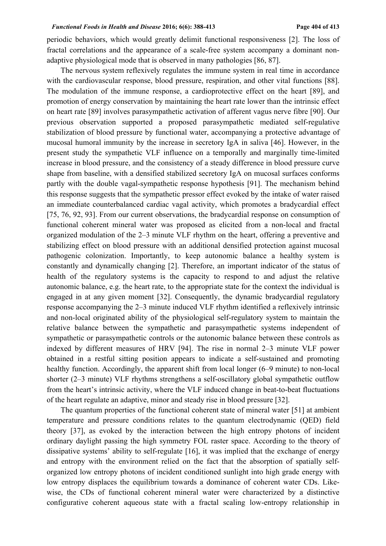### *Functional Foods in Health and Disease* **2016; 6(6): 388-413****Page 404 of 413**

periodic behaviors, which would greatly delimit functional responsiveness [2]. The loss of fractal correlations and the appearance of a scale-free system accompany a dominant nonadaptive physiological mode that is observed in many pathologies [86, 87].

The nervous system reflexively regulates the immune system in real time in accordance with the cardiovascular response, blood pressure, respiration, and other vital functions [88]. The modulation of the immune response, a cardioprotective effect on the heart [89], and promotion of energy conservation by maintaining the heart rate lower than the intrinsic effect on heart rate [89] involves parasympathetic activation of afferent vagus nerve fibre [90]. Our previous observation supported a proposed parasympathetic mediated self-regulative stabilization of blood pressure by functional water, accompanying a protective advantage of mucosal humoral immunity by the increase in secretory IgA in saliva [46]. However, in the present study the sympathetic VLF influence on a temporally and marginally time-limited increase in blood pressure, and the consistency of a steady difference in blood pressure curve shape from baseline, with a densified stabilized secretory IgA on mucosal surfaces conforms partly with the double vagal-sympathetic response hypothesis [91]. The mechanism behind this response suggests that the sympathetic pressor effect evoked by the intake of water raised an immediate counterbalanced cardiac vagal activity, which promotes a bradycardial effect [75, 76, 92, 93]. From our current observations, the bradycardial response on consumption of functional coherent mineral water was proposed as elicited from a non-local and fractal organized modulation of the 2–3 minute VLF rhythm on the heart, offering a preventive and stabilizing effect on blood pressure with an additional densified protection against mucosal pathogenic colonization. Importantly, to keep autonomic balance a healthy system is constantly and dynamically changing [2]. Therefore, an important indicator of the status of health of the regulatory systems is the capacity to respond to and adjust the relative autonomic balance, e.g. the heart rate, to the appropriate state for the context the individual is engaged in at any given moment [32]. Consequently, the dynamic bradycardial regulatory response accompanying the 2–3 minute induced VLF rhythm identified a reflexively intrinsic and non-local originated ability of the physiological self-regulatory system to maintain the relative balance between the sympathetic and parasympathetic systems independent of sympathetic or parasympathetic controls or the autonomic balance between these controls as indexed by different measures of HRV [94]. The rise in normal 2–3 minute VLF power obtained in a restful sitting position appears to indicate a self-sustained and promoting healthy function. Accordingly, the apparent shift from local longer (6–9 minute) to non-local shorter (2–3 minute) VLF rhythms strengthens a self-oscillatory global sympathetic outflow from the heart's intrinsic activity, where the VLF induced change in beat-to-beat fluctuations of the heart regulate an adaptive, minor and steady rise in blood pressure [32].

The quantum properties of the functional coherent state of mineral water [51] at ambient temperature and pressure conditions relates to the quantum electrodynamic (QED) field theory [37], as evoked by the interaction between the high entropy photons of incident ordinary daylight passing the high symmetry FOL raster space. According to the theory of dissipative systems' ability to self-regulate [16], it was implied that the exchange of energy and entropy with the environment relied on the fact that the absorption of spatially selforganized low entropy photons of incident conditioned sunlight into high grade energy with low entropy displaces the equilibrium towards a dominance of coherent water CDs. Likewise, the CDs of functional coherent mineral water were characterized by a distinctive configurative coherent aqueous state with a fractal scaling low-entropy relationship in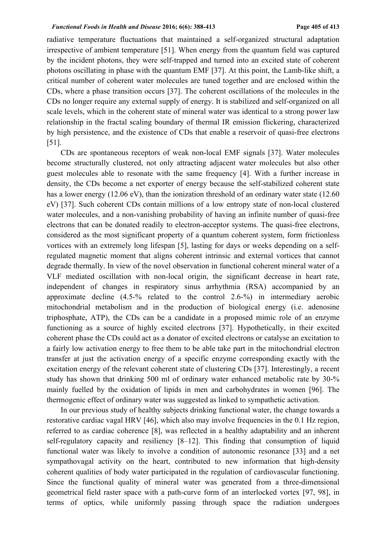### *Functional Foods in Health and Disease* **2016; 6(6): 388-413****Page 405 of 413**

radiative temperature fluctuations that maintained a self-organized structural adaptation irrespective of ambient temperature [51]. When energy from the quantum field was captured by the incident photons, they were self-trapped and turned into an excited state of coherent photons oscillating in phase with the quantum EMF [37]. At this point, the Lamb-like shift, a critical number of coherent water molecules are tuned together and are enclosed within the CDs, where a phase transition occurs [37]. The coherent oscillations of the molecules in the CDs no longer require any external supply of energy. It is stabilized and self-organized on all scale levels, which in the coherent state of mineral water was identical to a strong power law relationship in the fractal scaling boundary of thermal IR emission flickering, characterized by high persistence, and the existence of CDs that enable a reservoir of quasi-free electrons [51].

CDs are spontaneous receptors of weak non-local EMF signals [37]. Water molecules become structurally clustered, not only attracting adjacent water molecules but also other guest molecules able to resonate with the same frequency [4]. With a further increase in density, the CDs become a net exporter of energy because the self-stabilized coherent state has a lower energy (12.06 eV), than the ionization threshold of an ordinary water state (12.60) eV) [37]. Such coherent CDs contain millions of a low entropy state of non-local clustered water molecules, and a non-vanishing probability of having an infinite number of quasi-free electrons that can be donated readily to electron-acceptor systems. The quasi-free electrons, considered as the most significant property of a quantum coherent system, form frictionless vortices with an extremely long lifespan [5], lasting for days or weeks depending on a selfregulated magnetic moment that aligns coherent intrinsic and external vortices that cannot degrade thermally. In view of the novel observation in functional coherent mineral water of a VLF mediated oscillation with non-local origin, the significant decrease in heart rate, independent of changes in respiratory sinus arrhythmia (RSA) accompanied by an approximate decline (4.5-% related to the control 2.6-%) in intermediary aerobic mitochondrial metabolism and in the production of biological energy (i.e. adenosine triphosphate, ATP), the CDs can be a candidate in a proposed mimic role of an enzyme functioning as a source of highly excited electrons [37]. Hypothetically, in their excited coherent phase the CDs could act as a donator of excited electrons or catalyse an excitation to a fairly low activation energy to free them to be able take part in the mitochondrial electron transfer at just the activation energy of a specific enzyme corresponding exactly with the excitation energy of the relevant coherent state of clustering CDs [37]. Interestingly, a recent study has shown that drinking 500 ml of ordinary water enhanced metabolic rate by 30-% mainly fuelled by the oxidation of lipids in men and carbohydrates in women [96]. The thermogenic effect of ordinary water was suggested as linked to sympathetic activation.

In our previous study of healthy subjects drinking functional water, the change towards a restorative cardiac vagal HRV [46], which also may involve frequencies in the 0.1 Hz region, referred to as cardiac coherence [8], was reflected in a healthy adaptability and an inherent self-regulatory capacity and resiliency [8–12]. This finding that consumption of liquid functional water was likely to involve a condition of autonomic resonance [33] and a net sympathovagal activity on the heart, contributed to new information that high-density coherent qualities of body water participated in the regulation of cardiovascular functioning. Since the functional quality of mineral water was generated from a three-dimensional geometrical field raster space with a path-curve form of an interlocked vortex [97, 98], in terms of optics, while uniformly passing through space the radiation undergoes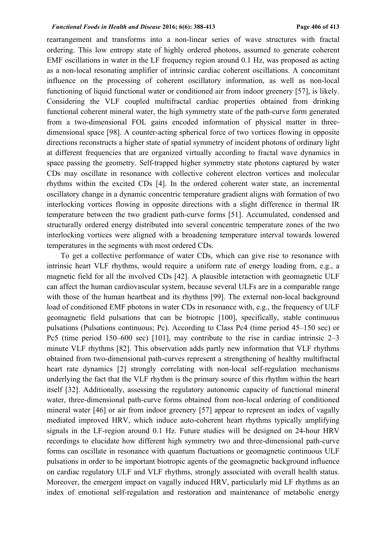rearrangement and transforms into a non-linear series of wave structures with fractal ordering. This low entropy state of highly ordered photons, assumed to generate coherent EMF oscillations in water in the LF frequency region around 0.1 Hz, was proposed as acting as a non-local resonating amplifier of intrinsic cardiac coherent oscillations. A concomitant influence on the processing of coherent oscillatory information, as well as non-local functioning of liquid functional water or conditioned air from indoor greenery [57], is likely. Considering the VLF coupled multifractal cardiac properties obtained from drinking functional coherent mineral water, the high symmetry state of the path-curve form generated from a two-dimensional FOL gains encoded information of physical matter in threedimensional space [98]. A counter-acting spherical force of two vortices flowing in opposite directions reconstructs a higher state of spatial symmetry of incident photons of ordinary light at different frequencies that are organized virtually according to fractal wave dynamics in space passing the geometry. Self-trapped higher symmetry state photons captured by water CDs may oscillate in resonance with collective coherent electron vortices and molecular rhythms within the excited CDs [4]. In the ordered coherent water state, an incremental oscillatory change in a dynamic concentric temperature gradient aligns with formation of two interlocking vortices flowing in opposite directions with a slight difference in thermal IR temperature between the two gradient path-curve forms [51]. Accumulated, condensed and structurally ordered energy distributed into several concentric temperature zones of the two interlocking vortices were aligned with a broadening temperature interval towards lowered temperatures in the segments with most ordered CDs.

To get a collective performance of water CDs, which can give rise to resonance with intrinsic heart VLF rhythms, would require a uniform rate of energy loading from, e.g., a magnetic field for all the involved CDs [42]. A plausible interaction with geomagnetic ULF can affect the human cardiovascular system, because several ULFs are in a comparable range with those of the human heartbeat and its rhythms [99]. The external non-local background load of conditioned EMF photons in water CDs in resonance with, e.g., the frequency of ULF geomagnetic field pulsations that can be biotropic [100], specifically, stable continuous pulsations (Pulsations continuous; Pc). According to Class Pc4 (time period 45–150 sec) or Pc5 (time period 150–600 sec) [101], may contribute to the rise in cardiac intrinsic 2–3 minute VLF rhythms [82]. This observation adds partly new information that VLF rhythms obtained from two-dimensional path-curves represent a strengthening of healthy multifractal heart rate dynamics [2] strongly correlating with non-local self-regulation mechanisms underlying the fact that the VLF rhythm is the primary source of this rhythm within the heart itself [32]. Additionally, assessing the regulatory autonomic capacity of functional mineral water, three-dimensional path-curve forms obtained from non-local ordering of conditioned mineral water [46] or air from indoor greenery [57] appear to represent an index of vagally mediated improved HRV, which induce auto-coherent heart rhythms typically amplifying signals in the LF-region around 0.1 Hz. Future studies will be designed on 24-hour HRV recordings to elucidate how different high symmetry two and three-dimensional path-curve forms can oscillate in resonance with quantum fluctuations or geomagnetic continuous ULF pulsations in order to be important biotropic agents of the geomagnetic background influence on cardiac regulatory ULF and VLF rhythms, strongly associated with overall health status. Moreover, the emergent impact on vagally induced HRV, particularly mid LF rhythms as an index of emotional self-regulation and restoration and maintenance of metabolic energy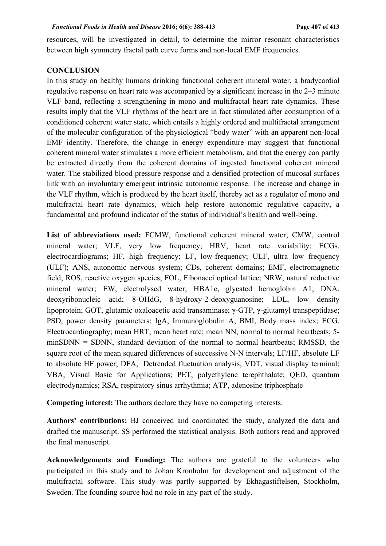resources, will be investigated in detail, to determine the mirror resonant characteristics between high symmetry fractal path curve forms and non-local EMF frequencies.

# **CONCLUSION**

In this study on healthy humans drinking functional coherent mineral water, a bradycardial regulative response on heart rate was accompanied by a significant increase in the 2–3 minute VLF band, reflecting a strengthening in mono and multifractal heart rate dynamics. These results imply that the VLF rhythms of the heart are in fact stimulated after consumption of a conditioned coherent water state, which entails a highly ordered and multifractal arrangement of the molecular configuration of the physiological "body water" with an apparent non-local EMF identity. Therefore, the change in energy expenditure may suggest that functional coherent mineral water stimulates a more efficient metabolism, and that the energy can partly be extracted directly from the coherent domains of ingested functional coherent mineral water. The stabilized blood pressure response and a densified protection of mucosal surfaces link with an involuntary emergent intrinsic autonomic response. The increase and change in the VLF rhythm, which is produced by the heart itself, thereby act as a regulator of mono and multifractal heart rate dynamics, which help restore autonomic regulative capacity, a fundamental and profound indicator of the status of individual's health and well-being.

**List of abbreviations used:** FCMW, functional coherent mineral water; CMW, control mineral water; VLF, very low frequency; HRV, heart rate variability; ECGs, electrocardiograms; HF, high frequency; LF, low-frequency; ULF, ultra low frequency (ULF); ANS, autonomic nervous system; CDs, coherent domains; EMF, electromagnetic field; ROS, reactive oxygen species; FOL, Fibonacci optical lattice; NRW, natural reductive mineral water; EW, electrolysed water; HBA1c, glycated hemoglobin A1; DNA, deoxyribonucleic acid; 8-OHdG, 8-hydroxy-2-deoxyguanosine; LDL, low density lipoprotein; GOT, glutamic oxaloacetic acid transaminase; γ-GTP, γ-glutamyl transpeptidase; PSD, power density parameters; IgA, Immunoglobulin A; BMI, Body mass index; ECG, Electrocardiography; mean HRT, mean heart rate; mean NN, normal to normal heartbeats; 5 minSDNN = SDNN, standard deviation of the normal to normal heartbeats; RMSSD, the square root of the mean squared differences of successive N-N intervals; LF/HF, absolute LF to absolute HF power; DFA, Detrended fluctuation analysis; VDT, visual display terminal; VBA, Visual Basic for Applications; PET, polyethylene terephthalate; QED, quantum electrodynamics; RSA, respiratory sinus arrhythmia; ATP, adenosine triphosphate

**Competing interest:** The authors declare they have no competing interests.

**Authors' contributions:** BJ conceived and coordinated the study, analyzed the data and drafted the manuscript. SS performed the statistical analysis. Both authors read and approved the final manuscript.

**Acknowledgements and Funding:** The authors are grateful to the volunteers who participated in this study and to Johan Kronholm for development and adjustment of the multifractal software. This study was partly supported by Ekhagastiftelsen, Stockholm, Sweden. The founding source had no role in any part of the study.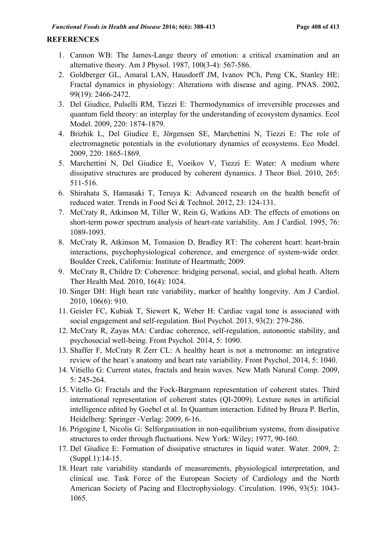# **REFERENCES**

- 1. Cannon WB: The James-Lange theory of emotion: a critical examination and an alternative theory. Am J Physol. 1987, 100(3-4): 567-586.
- 2. Goldberger GL, Amaral LAN, Hausdorff JM, Ivanov PCh, Peng CK, Stanley HE: Fractal dynamics in physiology: Alterations with disease and aging. PNAS. 2002, 99(19): 2466-2472.
- 3. Del Giudice, Pulselli RM, Tiezzi E: Thermodynamics of irreversible processes and quantum field theory: an interplay for the understanding of ecosystem dynamics. Ecol Model. 2009, 220: 1874-1879.
- 4. Brizhik L, Del Giudice E, Jörgensen SE, Marchettini N, Tiezzi E: The role of electromagnetic potentials in the evolutionary dynamics of ecosystems. Eco Model. 2009, 220: 1865-1869.
- 5. Marchettini N, Del Giudice E, Voeikov V, Tiezzi E: Water: A medium where dissipative structures are produced by coherent dynamics. J Theor Biol. 2010, 265: 511-516.
- 6. Shirahata S, Hamasaki T, Teruya K: Advanced research on the health benefit of reduced water. Trends in Food Sci & Technol. 2012, 23: 124-131.
- 7. McCraty R, Atkinson M, Tiller W, Rein G, Watkins AD: The effects of emotions on short-term power spectrum analysis of heart-rate variability. Am J Cardiol. 1995, 76: 1089-1093.
- 8. McCraty R, Atkinson M, Tomasion D, Bradley RT: The coherent heart: heart-brain interactions, psychophysiological coherence, and emergence of system-wide order. Boulder Creek, California: Institute of Heartmath; 2009.
- 9. McCraty R, Childre D: Coherence: bridging personal, social, and global heath. Altern Ther Health Med. 2010, 16(4): 1024.
- 10. Singer DH: High heart rate variability, marker of healthy longevity. Am J Cardiol. 2010, 106(6): 910.
- 11. Geisler FC, Kubiak T, Siewert K, Weber H: Cardiac vagal tone is associated with social engagement and self-regulation. Biol Psychol. 2013, 93(2): 279-286.
- 12. McCraty R, Zayas MA: Cardiac coherence, self-regulation, autonomic stability, and psychosocial well-being. Front Psychol. 2014, 5: 1090.
- 13. Shaffer F, McCraty R Zerr CL: A healthy heart is not a metronome: an integrative review of the heart´s anatomy and heart rate variability. Front Psychol. 2014, 5: 1040.
- 14. Vitiello G: Current states, fractals and brain waves. New Math Natural Comp. 2009, 5: 245-264.
- 15. Vitello G: Fractals and the Fock-Bargmann representation of coherent states. Third international representation of coherent states (QI-2009). Lexture notes in artificial intelligence edited by Goebel et al. In Quantum interaction. Edited by Bruza P. Berlin, Heidelberg: Springer -Verlag: 2009, 6-16.
- 16. Prigogine I, Nicolis G: Selforganisation in non-equilibrium systems, from dissipative structures to order through fluctuations. New York: Wiley; 1977, 90-160.
- 17. Del Giudice E: Formation of dissipative structures in liquid water. Water. 2009, 2: (Suppl.1):14-15.
- 18. Heart rate variability standards of measurements, physiological interpretation, and clinical use. Task Force of the European Society of Cardiology and the North American Society of Pacing and Electrophysiology. Circulation. 1996, 93(5): 1043- 1065.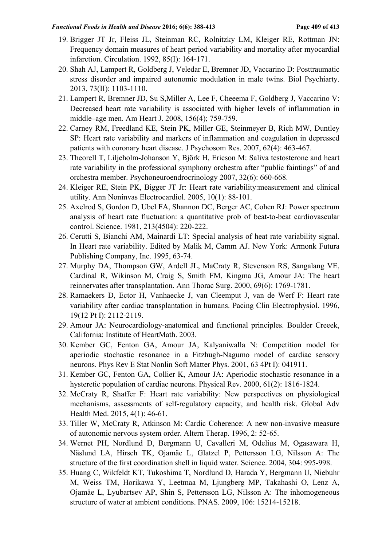### *Functional Foods in Health and Disease* **2016; 6(6): 388-413****Page 409 of 413**

- 19. Brigger JT Jr, Fleiss JL, Steinman RC, Rolnitzky LM, Kleiger RE, Rottman JN: Frequency domain measures of heart period variability and mortality after myocardial infarction. Circulation. 1992, 85(I): 164-171.
- 20. Shah AJ, Lampert R, Goldberg J, Veledar E, Bremner JD, Vaccarino D: Posttraumatic stress disorder and impaired autonomic modulation in male twins. Biol Psychiarty. 2013, 73(II): 1103-1110.
- 21. Lampert R, Bremner JD, Su S,Miller A, Lee F, Cheeema F, Goldberg J, Vaccarino V: Decreased heart rate variability is associated with higher levels of inflammation in middle–age men. Am Heart J. 2008, 156(4); 759-759.
- 22. Carney RM, Freedland KE, Stein PK, Miller GE, Steinmeyer B, Rich MW, Duntley SP: Heart rate variability and markers of inflammation and coagulation in depressed patients with coronary heart disease. J Psychosom Res. 2007, 62(4): 463-467.
- 23. Theorell T, Liljeholm-Johanson Y, Björk H, Ericson M: Saliva testosterone and heart rate variability in the professional symphony orchestra after "public faintings" of and orchestra member. Psychoneuroendrocrinology 2007, 32(6): 660-668.
- 24. Kleiger RE, Stein PK, Bigger JT Jr: Heart rate variability:measurement and clinical utility. Ann Noninvas Electrocardiol. 2005, 10(1): 88-101.
- 25. Axelrod S, Gordon D, Ubel FA, Shannon DC, Berger AC, Cohen RJ: Power spectrum analysis of heart rate fluctuation: a quantitative prob of beat-to-beat cardiovascular control. Science. 1981, 213(4504): 220-222.
- 26. Cerutti S, Bianchi AM, Mainardi LT: Special analysis of heat rate variability signal. In Heart rate variability. Edited by Malik M, Camm AJ. New York: Armonk Futura Publishing Company, Inc. 1995, 63-74.
- 27. Murphy DA, Thompson GW, Ardell JL, MaCraty R, Stevenson RS, Sangalang VE, Cardinal R, Wikinson M, Craig S, Smith FM, Kingma JG, Amour JA: The heart reinnervates after transplantation. Ann Thorac Surg. 2000, 69(6): 1769-1781.
- 28. Ramaekers D, Ector H, Vanhaecke J, van Cleemput J, van de Werf F: Heart rate variability after cardiac transplantation in humans. Pacing Clin Electrophysiol. 1996, 19(12 Pt I): 2112-2119.
- 29. Amour JA: Neurocardiology-anatomical and functional principles. Boulder Creeek, California: Institute of HeartMath. 2003.
- 30. Kember GC, Fenton GA, Amour JA, Kalyaniwalla N: Competition model for aperiodic stochastic resonance in a Fitzhugh-Nagumo model of cardiac sensory neurons. Phys Rev E Stat Nonlin Soft Matter Phys. 2001, 63 4Pt I): 041911.
- 31. Kember GC, Fenton GA, Collier K, Amour JA: Aperiodic stochastic resonance in a hysteretic population of cardiac neurons. Physical Rev. 2000, 61(2): 1816-1824.
- 32. McCraty R, Shaffer F: Heart rate variability: New perspectives on physiological mechanisms, assessments of self-regulatory capacity, and health risk. Global Adv Health Med. 2015, 4(1): 46-61.
- 33. Tiller W, McCraty R, Atkinson M: Cardic Coherence: A new non-invasive measure of autonomic nervous system order. Altern Therap. 1996, 2: 52-65.
- 34. Wernet PH, Nordlund D, Bergmann U, Cavalleri M, Odelius M, Ogasawara H, Näslund LA, Hirsch TK, Ojamäe L, Glatzel P, Pettersson LG, Nilsson A: The structure of the first coordination shell in liquid water. Science. 2004, 304: 995-998.
- 35. Huang C, Wikfeldt KT, Tukoshima T, Nordlund D, Harada Y, Bergmann U, Niebuhr M, Weiss TM, Horikawa Y, Leetmaa M, Ljungberg MP, Takahashi O, Lenz A, Ojamäe L, Lyubartsev AP, Shin S, Pettersson LG, Nilsson A: The inhomogeneous structure of water at ambient conditions. PNAS. 2009, 106: 15214-15218.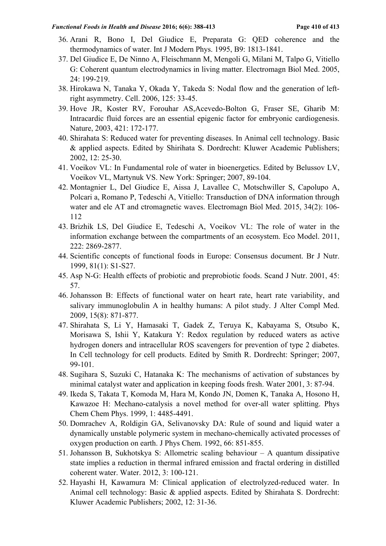### *Functional Foods in Health and Disease* **2016; 6(6): 388-413****Page 410 of 413**

- 36. Arani R, Bono I, Del Giudice E, Preparata G: QED coherence and the thermodynamics of water. Int J Modern Phys. 1995, B9: 1813-1841.
- 37. Del Giudice E, De Ninno A, Fleischmann M, Mengoli G, Milani M, Talpo G, Vitiello G: Coherent quantum electrodynamics in living matter. Electromagn Biol Med. 2005, 24: 199-219.
- 38. Hirokawa N, Tanaka Y, Okada Y, Takeda S: Nodal flow and the generation of leftright asymmetry. Cell. 2006, 125: 33-45.
- 39. Hove JR, Koster RV, Forouhar AS,Acevedo-Bolton G, Fraser SE, Gharib M: Intracardic fluid forces are an essential epigenic factor for embryonic cardiogenesis. Nature, 2003, 421: 172-177.
- 40. Shirahata S: Reduced water for preventing diseases. In Animal cell technology. Basic & applied aspects. Edited by Shirihata S. Dordrecht: Kluwer Academic Publishers; 2002, 12: 25-30.
- 41. Voeikov VL: In Fundamental role of water in bioenergetics. Edited by Belussov LV, Voeikov VL, Martynuk VS. New York: Springer; 2007, 89-104.
- 42. Montagnier L, Del Giudice E, Aissa J, Lavallee C, Motschwiller S, Capolupo A, Polcari a, Romano P, Tedeschi A, Vitiello: Transduction of DNA information through water and ele AT and ctromagnetic waves. Electromagn Biol Med. 2015, 34(2): 106- 112
- 43. Brizhik LS, Del Giudice E, Tedeschi A, Voeikov VL: The role of water in the information exchange between the compartments of an ecosystem. Eco Model. 2011, 222: 2869-2877.
- 44. Scientific concepts of functional foods in Europe: Consensus document. Br J Nutr. 1999, 81(1): S1-S27.
- 45. Asp N-G: Health effects of probiotic and preprobiotic foods. Scand J Nutr. 2001, 45: 57.
- 46. Johansson B: Effects of functional water on heart rate, heart rate variability, and salivary immunoglobulin A in healthy humans: A pilot study. J Alter Compl Med. 2009, 15(8): 871-877.
- 47. Shirahata S, Li Y, Hamasaki T, Gadek Z, Teruya K, Kabayama S, Otsubo K, Morisawa S, Ishii Y, Katakura Y: Redox regulation by reduced waters as active hydrogen doners and intracellular ROS scavengers for prevention of type 2 diabetes. In Cell technology for cell products. Edited by Smith R. Dordrecht: Springer; 2007, 99-101.
- 48. Sugihara S, Suzuki C, Hatanaka K: The mechanisms of activation of substances by minimal catalyst water and application in keeping foods fresh. Water 2001, 3: 87-94.
- 49. Ikeda S, Takata T, Komoda M, Hara M, Kondo JN, Domen K, Tanaka A, Hosono H, Kawazoe H: Mechano-catalysis a novel method for over-all water splitting. Phys Chem Chem Phys. 1999, 1: 4485-4491.
- 50. Domrachev A, Roldigin GA, Selivanovsky DA: Rule of sound and liquid water a dynamically unstable polymeric system in mechano-chemically activated processes of oxygen production on earth. J Phys Chem. 1992, 66: 851-855.
- 51. Johansson B, Sukhotskya S: Allometric scaling behaviour A quantum dissipative state implies a reduction in thermal infrared emission and fractal ordering in distilled coherent water. Water. 2012, 3: 100-121.
- 52. Hayashi H, Kawamura M: Clinical application of electrolyzed-reduced water. In Animal cell technology: Basic & applied aspects. Edited by Shirahata S. Dordrecht: Kluwer Academic Publishers; 2002, 12: 31-36.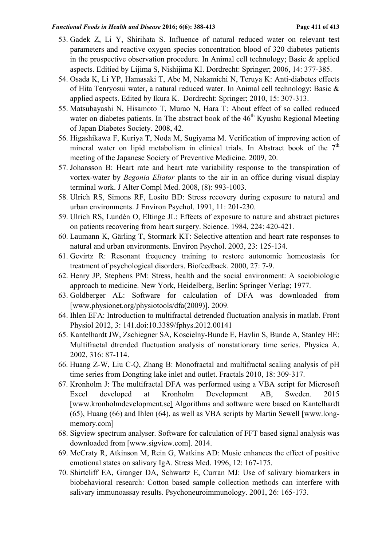### *Functional Foods in Health and Disease* **2016; 6(6): 388-413****Page 411 of 413**

- 53. Gadek Z, Li Y, Shirihata S. Influence of natural reduced water on relevant test parameters and reactive oxygen species concentration blood of 320 diabetes patients in the prospective observation procedure. In Animal cell technology; Basic & applied aspects. Editied by Lijima S, Nishijima KI. Dordrecht: Springer; 2006, 14: 377-385.
- 54. Osada K, Li YP, Hamasaki T, Abe M, Nakamichi N, Teruya K: Anti-diabetes effects of Hita Tenryosui water, a natural reduced water. In Animal cell technology: Basic & applied aspects. Edited by Ikura K. Dordrecht: Springer; 2010, 15: 307-313.
- 55. Matsubayashi N, Hisamoto T, Murao N, Hara T: About effect of so called reduced water on diabetes patients. In The abstract book of the  $46<sup>th</sup>$  Kyushu Regional Meeting of Japan Diabetes Society. 2008, 42.
- 56. Higashikawa F, Kuriya T, Noda M, Sugiyama M. Verification of improving action of mineral water on lipid metabolism in clinical trials. In Abstract book of the  $7<sup>th</sup>$ meeting of the Japanese Society of Preventive Medicine. 2009, 20.
- 57. Johansson B: Heart rate and heart rate variability response to the transpiration of vortex-water by *Begonia Eliator* plants to the air in an office during visual display terminal work. J Alter Compl Med. 2008, (8): 993-1003.
- 58. Ulrich RS, Simons RF, Losito BD: Stress recovery during exposure to natural and urban environments. J Environ Psychol. 1991, 11: 201-230.
- 59. Ulrich RS, Lundén O, Eltinge JL: Effects of exposure to nature and abstract pictures on patients recovering from heart surgery. Science. 1984, 224: 420-421.
- 60. Laumann K, Gärling T, Stormark KT: Selective attention and heart rate responses to natural and urban environments. Environ Psychol. 2003, 23: 125-134.
- 61. Gevirtz R: Resonant frequency training to restore autonomic homeostasis for treatment of psychological disorders. Biofeedback. 2000, 27: 7-9.
- 62. Henry JP, Stephens PM: Stress, health and the social environment: A sociobiologic approach to medicine. New York, Heidelberg, Berlin: Springer Verlag; 1977.
- 63. Goldberger AL: Software for calculation of DFA was downloaded from [www.physionet.org/physiotools/dfa(2009)]. 2009.
- 64. Ihlen EFA: Introduction to multifractal detrended fluctuation analysis in matlab. Front Physiol 2012, 3: 141.doi:10.3389/fphys.2012.00141
- 65. Kantelhardt JW, Zschiegner SA, Koscielny-Bunde E, Havlin S, Bunde A, Stanley HE: Multifractal dtrended fluctuation analysis of nonstationary time series. Physica A. 2002, 316: 87-114.
- 66. Huang Z-W, Liu C-Q, Zhang B: Monofractal and multifractal scaling analysis of pH time series from Dongting lake inlet and outlet. Fractals 2010, 18: 309-317.
- 67. Kronholm J: The multifractal DFA was performed using a VBA script for Microsoft Excel developed at Kronholm Development AB, Sweden. 2015 [www.kronholmdevelopment.se] Algorithms and software were based on Kantelhardt (65), Huang (66) and Ihlen (64), as well as VBA scripts by Martin Sewell [www.longmemory.com]
- 68. Sigview spectrum analyser. Software for calculation of FFT based signal analysis was downloaded from [www.sigview.com]. 2014.
- 69. McCraty R, Atkinson M, Rein G, Watkins AD: Music enhances the effect of positive emotional states on salivary IgA. Stress Med. 1996, 12: 167-175.
- 70. Shirtcliff EA, Granger DA, Schwartz E, Curran MJ: Use of salivary biomarkers in biobehavioral research: Cotton based sample collection methods can interfere with salivary immunoassay results. Psychoneuroimmunology. 2001, 26: 165-173.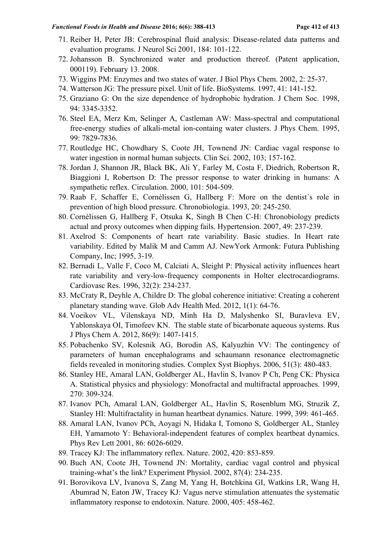- 71. Reiber H, Peter JB: Cerebrospinal fluid analysis: Disease-related data patterns and evaluation programs. J Neurol Sci 2001, 184: 101-122.
- 72. Johansson B. Synchronized water and production thereof. (Patent application, 000119). February 13. 2008.
- 73. Wiggins PM: Enzymes and two states of water. J Biol Phys Chem. 2002, 2: 25-37.
- 74. Watterson JG: The pressure pixel. Unit of life. BioSystems. 1997, 41: 141-152.
- 75. Graziano G: On the size dependence of hydrophobic hydration. J Chem Soc. 1998, 94: 3345-3352.
- 76. Steel EA, Merz Km, Selinger A, Castleman AW: Mass-spectral and computational free-energy studies of alkali-metal ion-containg water clusters. J Phys Chem. 1995, 99: 7829-7836.
- 77. Routledge HC, Chowdhary S, Coote JH, Townend JN: Cardiac vagal response to water ingestion in normal human subjects. Clin Sci. 2002, 103; 157-162.
- 78. Jordan J, Shannon JR, Black BK, Ali Y, Farley M, Costa F, Diedrich, Robertson R, Biaggioni I, Robertson D: The pressor response to water drinking in humans: A sympathetic reflex. Circulation. 2000, 101: 504-509.
- 79. Raab F, Schaffer E, Cornèlissen G, Hallberg F: More on the dentist´s role in prevention of high blood pressure. Chronobiologia. 1993, 20: 245-250.
- 80. Cornèlissen G, Hallberg F, Otsuka K, Singh B Chen C-H: Chronobiology predicts actual and proxy outcomes when dipping fails. Hypertension. 2007, 49: 237-239.
- 81. Axelrod S: Components of heart rate variability. Basic studies. In Heart rate variability. Edited by Malik M and Camm AJ. NewYork Armonk: Futura Publishing Company, Inc; 1995, 3-19.
- 82. Bernadi L, Valle F, Coco M, Calciati A, Sleight P: Physical activity influences heart rate variability and very-low-frequency components in Holter electrocardiograms. Cardiovasc Res. 1996, 32(2): 234-237.
- 83. McCraty R, Deyhle A, Childre D: The global coherence initiative: Creating a coherent planetary standing wave. Glob Adv Health Med. 2012, 1(1): 64-76.
- 84. Voeikov VL, Vilenskaya ND, Minh Ha D, Malyshenko SI, Buravleva EV, Yablonskaya OI, Timofeev KN. The stable state of bicarbonate aqueous systems. Rus J Phys Chem A. 2012, 86(9): 1407-1415.
- 85. Pobachenko SV, Kolesnik AG, Borodin AS, Kalyuzhin VV: The contingency of parameters of human encephalograms and schaumann resonance electromagnetic fields revealed in monitoring studies. Complex Syst Biophys. 2006, 51(3): 480-483.
- 86. Stanley HE, Amaral LAN, Goldberger AL, Havlin S, Ivanov P Ch, Peng CK: Physica A. Statistical physics and physiology: Monofractal and multifractal approaches. 1999, 270: 309-324.
- 87. Ivanov PCh, Amaral LAN, Goldberger AL, Havlin S, Rosenblum MG, Struzik Z, Stanley HI: Multifractality in human heartbeat dynamics. Nature. 1999, 399: 461-465.
- 88. Amaral LAN, Ivanov PCh, Aoyagi N, Hidaka I, Tomono S, Goldberger AL, Stanley EH, Yamamoto Y: Behavioral-independent features of complex heartbeat dynamics. Phys Rev Lett 2001, 86: 6026-6029.
- 89. Tracey KJ: The inflammatory reflex. Nature. 2002, 420: 853-859.
- 90. Buch AN, Coote JH, Townend JN: Mortality, cardiac vagal control and physical training-what's the link? Experiment Physiol. 2002, 87(4): 234-235.
- 91. Borovikova LV, Ivanova S, Zang M, Yang H, Botchkina GI, Watkins LR, Wang H, Abumrad N, Eaton JW, Tracey KJ: Vagus nerve stimulation attenuates the systematic inflammatory response to endotoxin. Nature. 2000, 405: 458-462.